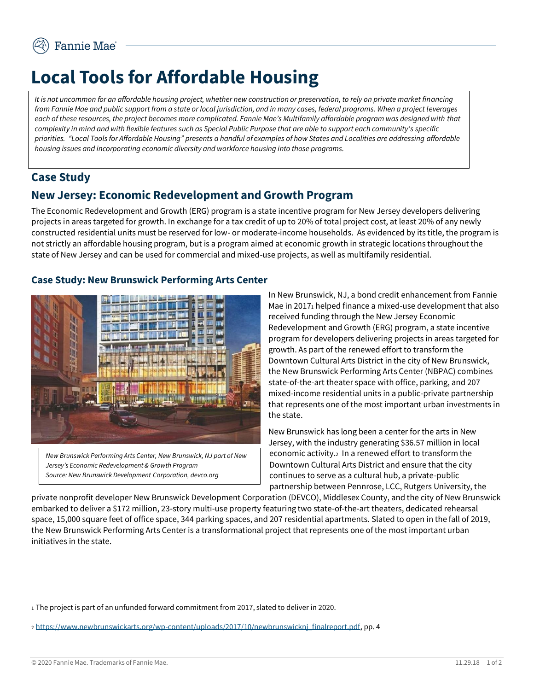# **Local Tools for Affordable Housing**

*It is not uncommon for an affordable housing project, whether new construction or preservation, to rely on private market financing from Fannie Mae and public support from a state or local jurisdiction, and in many cases, federal programs. When a project leverages each of these resources, the project becomes more complicated. Fannie Mae's Multifamily affordable program was designed with that complexity in mind and with flexible features such as Special Public Purpose that are able to support each community's specific priorities. "Local Tools for Affordable Housing" presents a handful of examples of how States and Localities are addressing affordable housing issues and incorporating economic diversity and workforce housing into those programs.* 

## **Case Study**

## **New Jersey: Economic Redevelopment and Growth Program**

The Economic Redevelopment and Growth (ERG) program is a state incentive program for New Jersey developers delivering projects in areas targeted for growth. In exchange for a tax credit of up to 20% of total project cost, at least 20% of any newly constructed residential units must be reserved for low- or moderate-income households. As evidenced by its title, the program is not strictly an affordable housing program, but is a program aimed at economic growth in strategic locations throughout the state of New Jersey and can be used for commercial and mixed-use projects, as well as multifamily residential.

#### **Case Study: New Brunswick Performing Arts Center**



*New Brunswick Performing Arts Center, New Brunswick, NJ part of New Jersey's Economic Redevelopment & Growth Program Source: New Brunswick Development Corporation, devco.org* 

In New Brunswick, NJ, a bond credit enhancement from Fannie Mae in 2017<sub>1</sub> helped finance a mixed-use development that also received funding through the New Jersey Economic Redevelopment and Growth (ERG) program, a state incentive program for developers delivering projects in areas targeted for growth. As part of the renewed effort to transform the Downtown Cultural Arts District in the city of New Brunswick, the New Brunswick Performing Arts Center (NBPAC) combines state-of-the-art theater space with office, parking, and 207 mixed-income residential units in a public-private partnership that represents one of the most important urban investments in the state.

New Brunswick has long been a center for the arts in New Jersey, with the industry generating \$36.57 million in local economic activity.2 In a renewed effort to transform the Downtown Cultural Arts District and ensure that the city continues to serve as a cultural hub, a private-public partnership between Pennrose, LCC, Rutgers University, the

private nonprofit developer New Brunswick Development Corporation (DEVCO), Middlesex County, and the city of New Brunswick embarked to deliver a \$172 million, 23-story multi-use property featuring two state-of-the-art theaters, dedicated rehearsal space, 15,000 square feet of office space, 344 parking spaces, and 207 residential apartments. Slated to open in the fall of 2019, the New Brunswick Performing Arts Center is a transformational project that represents one of the most important urban initiatives in the state.

<sup>1</sup> The project is part of an unfunded forward commitment from 2017, slated to deliver in 2020.

<sup>2</sup> [https://www.newbrunswickarts.org/wp-content/uploads/2017/10/newbrunswicknj\\_finalreport.pdf,](https://www.newbrunswickarts.org/wp-content/uploads/2017/10/newbrunswicknj_finalreport.pdf) pp. 4